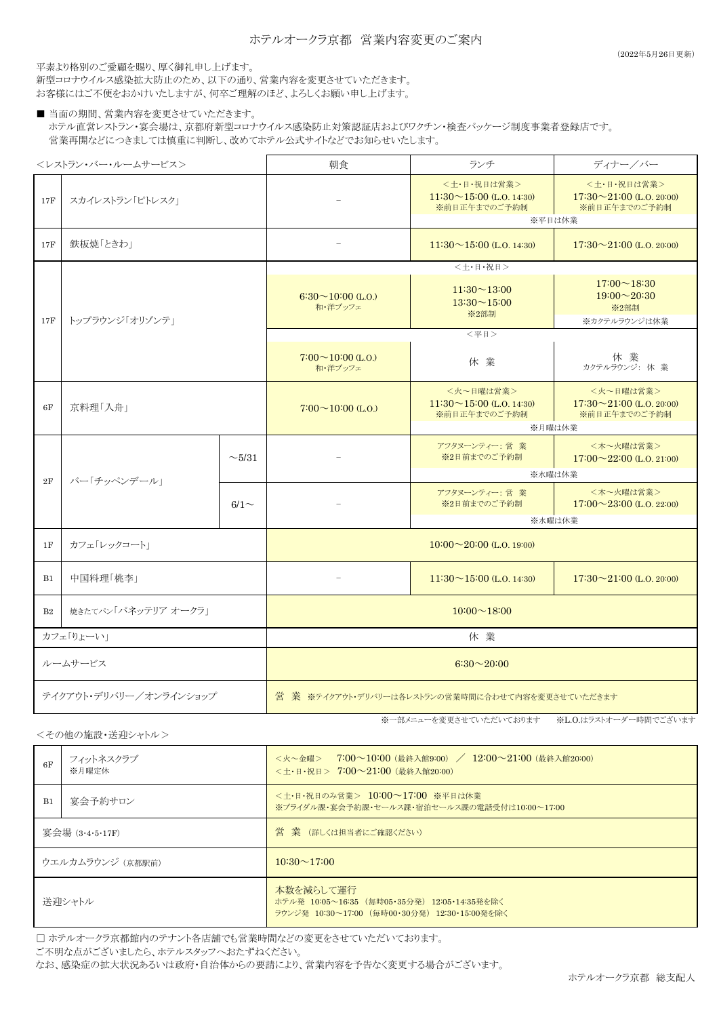平素より格別のご愛顧を賜り、厚く御礼申し上げます。

新型コロナウイルス感染拡大防止のため、以下の通り、営業内容を変更させていただきます。 お客様にはご不便をおかけいたしますが、何卒ご理解のほど、よろしくお願い申し上げます。

■ 当面の期間、営業内容を変更させていただきます。 ホテル直営レストラン・宴会場は、京都府新型コロナウイルス感染防止対策認証店およびワクチン・検査パッケージ制度事業者登録店です。 営業再開などにつきましては慎重に判断し、改めてホテル公式サイトなどでお知らせいたします。

<レストラン・バー・ルームサービス> 朝食 ランチ ディナー/バー <+・日・祝日は営業>  $11:30 \sim 15:00$  (L.O. 14:30) ※前日正午までのご予約制 <土・日・祝日は営業> 17:30~21:00 (L.O. 20:00) ※前日正午までのご予約制 17F 鉄板焼「ときわ」 - - - 11:30~15:00 (L.O. 14:30) 17:30~21:00 (L.O. 20:00)  $17:00 \sim 18:30$  $19:00 \sim 20:30$ ※2部制 ※カクテルラウンジは休業  $7:00 \sim 10:00$  (L.O.) <mark>0〜10:00 (L.O.)</mark> 休 業 休 業<br>和・洋ブッフェ カクテルラウンジ: 休 業 <火~日曜は営業>  $11:30 \sim 15:00$  (L.O. 14:30) ※前日正午までのご予約制 <火~日曜は営業> 17:30~21:00 (L.O. 20:00) ※前日正午までのご予約制 アフタヌーンティー: 営 業 ※2日前までのご予約制 <木~火曜は営業>  $17:00 \sim 22:00$  (L.O. 21:00) アフタヌーンティー: 営 業 ※2日前までのご予約制 <木~火曜は営業> 17:00~23:00 (L.O. 22:00) 1F カフェ「レックコート」 B1 中国料理「桃李」 - - - - 11:30~15:00 (L.O. 14:30) 17:30~21:00 (L.O. 20:00) B2 | 焼きたてパン「パネッテリア オークラ」 ルームサービス ※水曜は休業 ※水曜は休業 2F | バー「チッペンデール」  $\sim$  5/31  $6/1 \sim$  カフェ「りょーい」 10:00~20:00 (L.O. 19:00)  $10:00 \sim 18:00$ 休 業 6F 17F | スカイレストラン「ピトレスク」 ※平日は休業  $7:00 \sim 10:00$  (L,O)  $6:30\sim10:00$  (LO) 和・洋ブッフェ  $11:30 \sim 13:00$  $13:30 \sim 15:00$ ※2部制 <土・日・祝日>  $<$ 平日 $>$ ※月曜は休業 京料理「入舟」 - 6:30~20:00 17F トップラウンジ「オリゾンテ」 テイクアウト・デリバリー/オンラインショップ 営 業 ※テイクアウト・デリバリーは各レストランの営業時間に合わせて内容を変更させていただきます

<その他の施設・送迎シャトル>

※一部メニューを変更させていただいております ※L.O.はラストオーダー時間でございます

| 6F               | フィットネスクラブ<br>※月曜定休 | <火~金曜> 7:00~10:00(最終入館9:00) / 12:00~21:00(最終入館20:00)<br><土・日・祝日> 7:00~21:00 (最終入館20:00)                    |  |
|------------------|--------------------|------------------------------------------------------------------------------------------------------------|--|
| B <sub>1</sub>   | 宴会予約サロン            | <土・日・祝日のみ営業> 10:00~17:00 ※平日は休業<br>※ブライダル課・宴会予約課・セールス課・宿泊セールス課の電話受付は10:00~17:00                            |  |
| 宴会場 (3·4·5·17F)  |                    | 営 業 (詳しくは担当者にご確認ください)                                                                                      |  |
| ウエルカムラウンジ (京都駅前) |                    | $10:30 \sim 17:00$                                                                                         |  |
| 送迎シャトル           |                    | 本数を減らして運行<br>ホテル発 10:05~16:35 (毎時05・35分発) 12:05・14:35発を除く<br>ラウンジ発 10:30~17:00 (毎時00·30分発) 12:30·15:00発を除く |  |

□ ホテルオークラ京都館内のテナント各店舗でも営業時間などの変更をさせていただいております。

ご不明な点がございましたら、ホテルスタッフへおたずねください。

なお、感染症の拡大状況あるいは政府・自治体からの要請により、営業内容を予告なく変更する場合がございます。